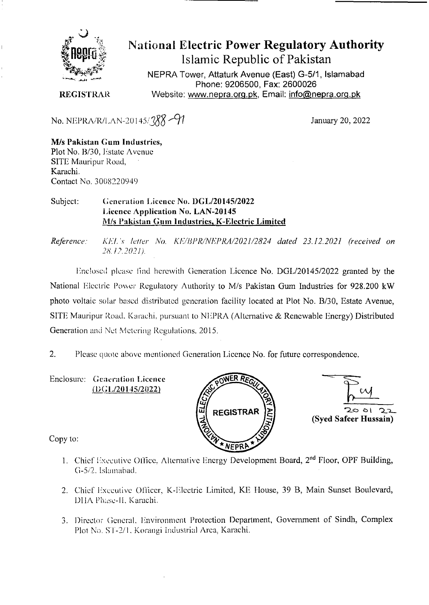

# **National Electric Power Regulatory Authority Islamic Republic of Pakistan**

NEPRA Tower, Attaturk Avenue (East) G-511, **Islamabad Phone: 9206500, Fax: 2600026**  Website: www.nepra.org.pk, Email: info@nepra.org.pk

**REGISTRAR** 

No. NEPRA/R/LAN-20145/ $\frac{88}{77}$ 

January 20, 2022

#### M/s **Pakistan Gum Industries,**  Plot No. B/30, *Estate Avenue* SITE Mauripur Road, Karachi. Contact No. 3008220949

#### Subject: Generation Licence No. DGL/20145/2022 **1 'icence Application No. LAN-20145**  M/s Pakistan **Gum industries,** K**-Electric Limited**

*Reference. KEI. 's letter No. KE/I3PR/NEPRA/2021/2824 dated 23.12.2021 (received on*  28.12.2021).

l:nc!oscd please find herewith Generation Licence No. DGL/20145/2022 granted by the National Electric Power Regulatory Authority to M/s Pakistan Gum Industries for 928.200 kW photo voltaic solar based distributed generation facility located at Plot No. B/30, Estate Avenue, SITE Mauripur Road, Karachi, pursuant to NEPRA (Alternative & Renewable Energy) Distributed Generation and Net Metering Regulations. 2015.

2. Please quote above mentioned Generation Licence No. for future correspondence.

Enclosure: Generation Licence (DGL/20145/2022)





Copy to:

- 1. Chief Executive Office, Alternative Energy Development Board, 2<sup>nd</sup> Floor, OPF Building, *G-5/2.* Islaniahad.
- 2. Chief Executive Officer, K-Electric Limited, KE House, 39 B, Main Sunset Boulevard, DHA Phase-II, Karachi.
- 3. Director General. Environment Protection Department, Government of Sindh, Complex Plot No. ST-2/1, Korangi Industrial Area, Karachi.